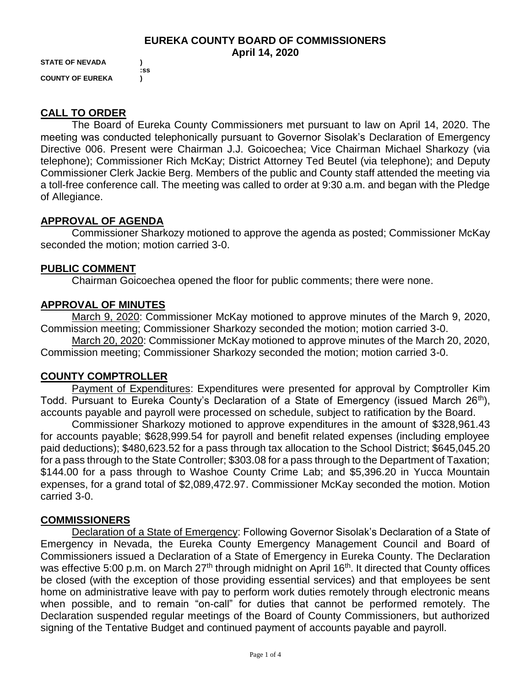#### **EUREKA COUNTY BOARD OF COMMISSIONERS April 14, 2020**

**STATE OF NEVADA ) :ss COUNTY OF EUREKA )**

# **CALL TO ORDER**

The Board of Eureka County Commissioners met pursuant to law on April 14, 2020. The meeting was conducted telephonically pursuant to Governor Sisolak's Declaration of Emergency Directive 006. Present were Chairman J.J. Goicoechea; Vice Chairman Michael Sharkozy (via telephone); Commissioner Rich McKay; District Attorney Ted Beutel (via telephone); and Deputy Commissioner Clerk Jackie Berg. Members of the public and County staff attended the meeting via a toll-free conference call. The meeting was called to order at 9:30 a.m. and began with the Pledge of Allegiance.

# **APPROVAL OF AGENDA**

Commissioner Sharkozy motioned to approve the agenda as posted; Commissioner McKay seconded the motion; motion carried 3-0.

## **PUBLIC COMMENT**

Chairman Goicoechea opened the floor for public comments; there were none.

# **APPROVAL OF MINUTES**

March 9, 2020: Commissioner McKay motioned to approve minutes of the March 9, 2020, Commission meeting; Commissioner Sharkozy seconded the motion; motion carried 3-0.

March 20, 2020: Commissioner McKay motioned to approve minutes of the March 20, 2020, Commission meeting; Commissioner Sharkozy seconded the motion; motion carried 3-0.

## **COUNTY COMPTROLLER**

Payment of Expenditures: Expenditures were presented for approval by Comptroller Kim Todd. Pursuant to Eureka County's Declaration of a State of Emergency (issued March 26<sup>th</sup>), accounts payable and payroll were processed on schedule, subject to ratification by the Board.

Commissioner Sharkozy motioned to approve expenditures in the amount of \$328,961.43 for accounts payable; \$628,999.54 for payroll and benefit related expenses (including employee paid deductions); \$480,623.52 for a pass through tax allocation to the School District; \$645,045.20 for a pass through to the State Controller; \$303.08 for a pass through to the Department of Taxation; \$144.00 for a pass through to Washoe County Crime Lab; and \$5,396.20 in Yucca Mountain expenses, for a grand total of \$2,089,472.97. Commissioner McKay seconded the motion. Motion carried 3-0.

## **COMMISSIONERS**

Declaration of a State of Emergency: Following Governor Sisolak's Declaration of a State of Emergency in Nevada, the Eureka County Emergency Management Council and Board of Commissioners issued a Declaration of a State of Emergency in Eureka County. The Declaration was effective 5:00 p.m. on March 27<sup>th</sup> through midnight on April 16<sup>th</sup>. It directed that County offices be closed (with the exception of those providing essential services) and that employees be sent home on administrative leave with pay to perform work duties remotely through electronic means when possible, and to remain "on-call" for duties that cannot be performed remotely. The Declaration suspended regular meetings of the Board of County Commissioners, but authorized signing of the Tentative Budget and continued payment of accounts payable and payroll.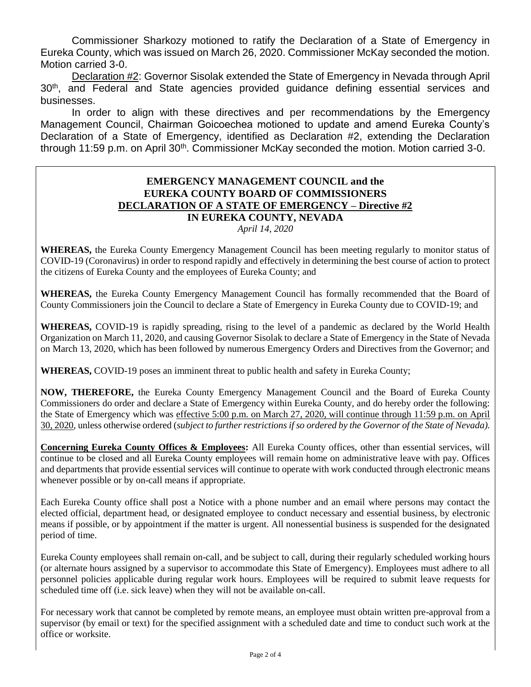Commissioner Sharkozy motioned to ratify the Declaration of a State of Emergency in Eureka County, which was issued on March 26, 2020. Commissioner McKay seconded the motion. Motion carried 3-0.

Declaration #2: Governor Sisolak extended the State of Emergency in Nevada through April 30<sup>th</sup>, and Federal and State agencies provided guidance defining essential services and businesses.

In order to align with these directives and per recommendations by the Emergency Management Council, Chairman Goicoechea motioned to update and amend Eureka County's Declaration of a State of Emergency, identified as Declaration #2, extending the Declaration through 11:59 p.m. on April 30<sup>th</sup>. Commissioner McKay seconded the motion. Motion carried 3-0.

#### **EMERGENCY MANAGEMENT COUNCIL and the EUREKA COUNTY BOARD OF COMMISSIONERS DECLARATION OF A STATE OF EMERGENCY – Directive #2 IN EUREKA COUNTY, NEVADA** *April 14, 2020*

**WHEREAS,** the Eureka County Emergency Management Council has been meeting regularly to monitor status of COVID-19 (Coronavirus) in order to respond rapidly and effectively in determining the best course of action to protect the citizens of Eureka County and the employees of Eureka County; and

**WHEREAS,** the Eureka County Emergency Management Council has formally recommended that the Board of County Commissioners join the Council to declare a State of Emergency in Eureka County due to COVID-19; and

**WHEREAS,** COVID-19 is rapidly spreading, rising to the level of a pandemic as declared by the World Health Organization on March 11, 2020, and causing Governor Sisolak to declare a State of Emergency in the State of Nevada on March 13, 2020, which has been followed by numerous Emergency Orders and Directives from the Governor; and

**WHEREAS,** COVID-19 poses an imminent threat to public health and safety in Eureka County;

**NOW, THEREFORE,** the Eureka County Emergency Management Council and the Board of Eureka County Commissioners do order and declare a State of Emergency within Eureka County, and do hereby order the following: the State of Emergency which was effective 5:00 p.m. on March 27, 2020, will continue through 11:59 p.m. on April 30, 2020, unless otherwise ordered (*subject to further restrictions if so ordered by the Governor of the State of Nevada).* 

**Concerning Eureka County Offices & Employees:** All Eureka County offices, other than essential services, will continue to be closed and all Eureka County employees will remain home on administrative leave with pay. Offices and departments that provide essential services will continue to operate with work conducted through electronic means whenever possible or by on-call means if appropriate.

Each Eureka County office shall post a Notice with a phone number and an email where persons may contact the elected official, department head, or designated employee to conduct necessary and essential business, by electronic means if possible, or by appointment if the matter is urgent. All nonessential business is suspended for the designated period of time.

Eureka County employees shall remain on-call, and be subject to call, during their regularly scheduled working hours (or alternate hours assigned by a supervisor to accommodate this State of Emergency). Employees must adhere to all personnel policies applicable during regular work hours. Employees will be required to submit leave requests for scheduled time off (i.e. sick leave) when they will not be available on-call.

For necessary work that cannot be completed by remote means, an employee must obtain written pre-approval from a supervisor (by email or text) for the specified assignment with a scheduled date and time to conduct such work at the office or worksite.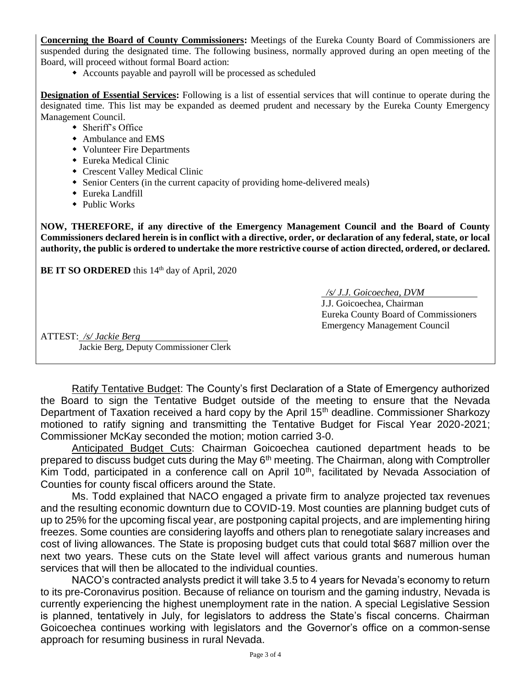**Concerning the Board of County Commissioners:** Meetings of the Eureka County Board of Commissioners are suspended during the designated time. The following business, normally approved during an open meeting of the Board, will proceed without formal Board action:

Accounts payable and payroll will be processed as scheduled

**Designation of Essential Services:** Following is a list of essential services that will continue to operate during the designated time. This list may be expanded as deemed prudent and necessary by the Eureka County Emergency Management Council.

- Sheriff's Office
- Ambulance and EMS
- Volunteer Fire Departments
- Eureka Medical Clinic
- Crescent Valley Medical Clinic
- Senior Centers (in the current capacity of providing home-delivered meals)
- Eureka Landfill
- ◆ Public Works

**NOW, THEREFORE, if any directive of the Emergency Management Council and the Board of County Commissioners declared herein is in conflict with a directive, order, or declaration of any federal, state, or local authority, the public is ordered to undertake the more restrictive course of action directed, ordered, or declared.** 

**BE IT SO ORDERED** this 14<sup>th</sup> day of April, 2020

 */s/ J.J. Goicoechea, DVM*

J.J. Goicoechea, Chairman Eureka County Board of Commissioners Emergency Management Council

ATTEST: */s/ Jackie Berg*

Jackie Berg, Deputy Commissioner Clerk

Ratify Tentative Budget: The County's first Declaration of a State of Emergency authorized the Board to sign the Tentative Budget outside of the meeting to ensure that the Nevada Department of Taxation received a hard copy by the April 15<sup>th</sup> deadline. Commissioner Sharkozy motioned to ratify signing and transmitting the Tentative Budget for Fiscal Year 2020-2021; Commissioner McKay seconded the motion; motion carried 3-0.

Anticipated Budget Cuts: Chairman Goicoechea cautioned department heads to be prepared to discuss budget cuts during the May 6<sup>th</sup> meeting. The Chairman, along with Comptroller Kim Todd, participated in a conference call on April 10<sup>th</sup>, facilitated by Nevada Association of Counties for county fiscal officers around the State.

Ms. Todd explained that NACO engaged a private firm to analyze projected tax revenues and the resulting economic downturn due to COVID-19. Most counties are planning budget cuts of up to 25% for the upcoming fiscal year, are postponing capital projects, and are implementing hiring freezes. Some counties are considering layoffs and others plan to renegotiate salary increases and cost of living allowances. The State is proposing budget cuts that could total \$687 million over the next two years. These cuts on the State level will affect various grants and numerous human services that will then be allocated to the individual counties.

NACO's contracted analysts predict it will take 3.5 to 4 years for Nevada's economy to return to its pre-Coronavirus position. Because of reliance on tourism and the gaming industry, Nevada is currently experiencing the highest unemployment rate in the nation. A special Legislative Session is planned, tentatively in July, for legislators to address the State's fiscal concerns. Chairman Goicoechea continues working with legislators and the Governor's office on a common-sense approach for resuming business in rural Nevada.